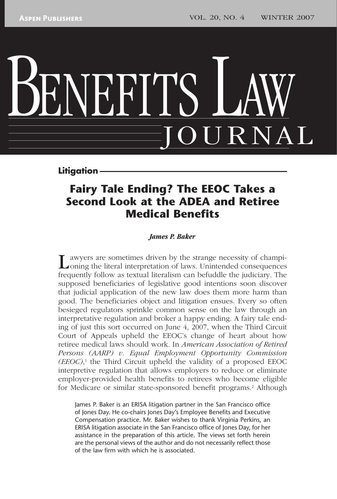# BENEFITS LAW JOURNAL

**Litigation**

# **Fairy Tale Ending? The EEOC Takes a Second Look at the ADEA and Retiree Medical Benefits**

### *James P. Baker*

awyers are sometimes driven by the strange necessity of champi-**L**oning the literal interpretation of laws. Unintended consequences frequently follow as textual literalism can befuddle the judiciary. The supposed beneficiaries of legislative good intentions soon discover that judicial application of the new law does them more harm than good. The beneficiaries object and litigation ensues. Every so often besieged regulators sprinkle common sense on the law through an interpretative regulation and broker a happy ending. A fairy tale ending of just this sort occurred on June 4, 2007, when the Third Circuit Court of Appeals upheld the EEOC's change of heart about how retiree medical laws should work. In *American Association of Retired Persons (AARP) v. Equal Employment Opportunity Commission (EEOC)*,<sup>1</sup> the Third Circuit upheld the validity of a proposed EEOC interpretive regulation that allows employers to reduce or eliminate employer-provided health benefits to retirees who become eligible for Medicare or similar state-sponsored benefit programs.<sup>2</sup> Although

James P. Baker is an ERISA litigation partner in the San Francisco office of Jones Day. He co-chairs Jones Day's Employee Benefits and Executive Compensation practice. Mr. Baker wishes to thank Virginia Perkins, an ERISA litigation associate in the San Francisco office of Jones Day, for her assistance in the preparation of this article. The views set forth herein are the personal views of the author and do not necessarily reflect those of the law firm with which he is associated.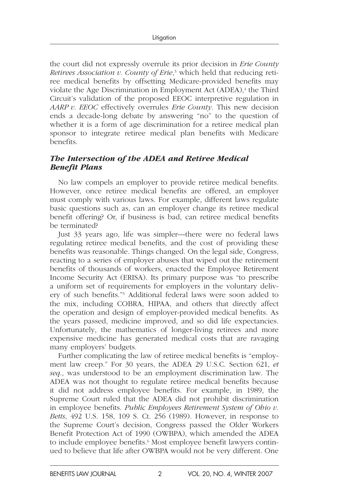the court did not expressly overrule its prior decision in *Erie County Retirees Association v. County of Erie*,<sup>3</sup> which held that reducing retiree medical benefits by offsetting Medicare-provided benefits may violate the Age Discrimination in Employment Act (ADEA),<sup>4</sup> the Third Circuit's validation of the proposed EEOC interpretive regulation in *AARP v. EEOC* effectively overrules *Erie County.* This new decision ends a decade-long debate by answering "no" to the question of whether it is a form of age discrimination for a retiree medical plan sponsor to integrate retiree medical plan benefits with Medicare benefits.

## *The Intersection of the ADEA and Retiree Medical Benefit Plans*

No law compels an employer to provide retiree medical benefits. However, once retiree medical benefits are offered, an employer must comply with various laws. For example, different laws regulate basic questions such as, can an employer change its retiree medical benefit offering? Or, if business is bad, can retiree medical benefits be terminated?

Just 33 years ago, life was simpler—there were no federal laws regulating retiree medical benefits, and the cost of providing these benefits was reasonable. Things changed. On the legal side, Congress, reacting to a series of employer abuses that wiped out the retirement benefits of thousands of workers, enacted the Employee Retirement Income Security Act (ERISA). Its primary purpose was "to prescribe a uniform set of requirements for employers in the voluntary delivery of such benefits."<sup>5</sup> Additional federal laws were soon added to the mix, including COBRA, HIPAA, and others that directly affect the operation and design of employer-provided medical benefits. As the years passed, medicine improved, and so did life expectancies. Unfortunately, the mathematics of longer-living retirees and more expensive medicine has generated medical costs that are ravaging many employers' budgets.

Further complicating the law of retiree medical benefits is "employment law creep." For 30 years, the ADEA 29 U.S.C. Section 621, *et seq*., was understood to be an employment discrimination law. The ADEA was not thought to regulate retiree medical benefits because it did not address employee benefits. For example, in 1989, the Supreme Court ruled that the ADEA did not prohibit discrimination in employee benefits. *Public Employees Retirement System of Ohio v. Betts*, 492 U.S. 158, 109 S. Ct. 256 (1989). However, in response to the Supreme Court's decision, Congress passed the Older Workers Benefit Protection Act of 1990 (OWBPA), which amended the ADEA to include employee benefits.<sup>6</sup> Most employee benefit lawyers continued to believe that life after OWBPA would not be very different. One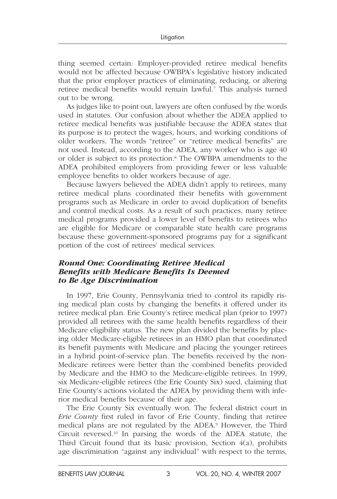thing seemed certain: Employer-provided retiree medical benefits would not be affected because OWBPA's legislative history indicated that the prior employer practices of eliminating, reducing, or altering retiree medical benefits would remain lawful.<sup>7</sup> This analysis turned out to be wrong.

As judges like to point out, lawyers are often confused by the words used in statutes. Our confusion about whether the ADEA applied to retiree medical benefits was justifiable because the ADEA states that its purpose is to protect the wages, hours, and working conditions of older workers. The words "retiree" or "retiree medical benefits" are not used. Instead, according to the ADEA, any worker who is age 40 or older is subject to its protection. 8 The OWBPA amendments to the ADEA prohibited employers from providing fewer or less valuable employee benefits to older workers because of age.

Because lawyers believed the ADEA didn't apply to retirees, many retiree medical plans coordinated their benefits with government programs such as Medicare in order to avoid duplication of benefits and control medical costs. As a result of such practices, many retiree medical programs provided a lower level of benefits to retirees who are eligible for Medicare or comparable state health care programs because these government-sponsored programs pay for a significant portion of the cost of retirees' medical services.

### *Round One: Coordinating Retiree Medical Benefits with Medicare Benefits Is Deemed to Be Age Discrimination*

In 1997, Erie County, Pennsylvania tried to control its rapidly rising medical plan costs by changing the benefits it offered under its retiree medical plan. Erie County's retiree medical plan (prior to 1997) provided all retirees with the same health benefits regardless of their Medicare eligibility status. The new plan divided the benefits by placing older Medicare-eligible retirees in an HMO plan that coordinated its benefit payments with Medicare and placing the younger retirees in a hybrid point-of-service plan. The benefits received by the non-Medicare retirees were better than the combined benefits provided by Medicare and the HMO to the Medicare-eligible retirees. In 1999, six Medicare-eligible retirees (the Erie County Six) sued, claiming that Erie County's actions violated the ADEA by providing them with inferior medical benefits because of their age.

The Erie County Six eventually won. The federal district court in *Erie County* first ruled in favor of Erie County, finding that retiree medical plans are not regulated by the ADEA.<sup>9</sup> However, the Third Circuit reversed. 10 In parsing the words of the ADEA statute, the Third Circuit found that its basic provision, Section  $4(a)$ , prohibits age discrimination "against any individual" with respect to the terms,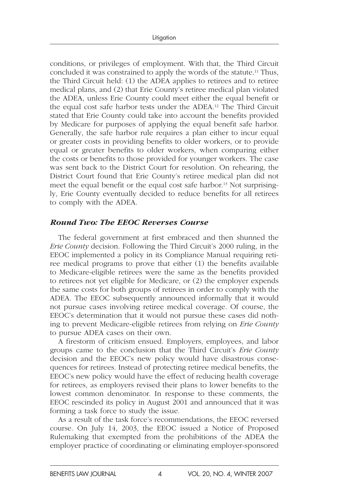conditions, or privileges of employment. With that, the Third Circuit concluded it was constrained to apply the words of the statute. 11 Thus, the Third Circuit held: (1) the ADEA applies to retirees and to retiree medical plans, and (2) that Erie County's retiree medical plan violated the ADEA, unless Erie County could meet either the equal benefit or the equal cost safe harbor tests under the ADEA. 12 The Third Circuit stated that Erie County could take into account the benefits provided by Medicare for purposes of applying the equal benefit safe harbor. Generally, the safe harbor rule requires a plan either to incur equal or greater costs in providing benefits to older workers, or to provide equal or greater benefits to older workers, when comparing either the costs or benefits to those provided for younger workers. The case was sent back to the District Court for resolution. On rehearing, the District Court found that Erie County's retiree medical plan did not meet the equal benefit or the equal cost safe harbor.<sup>13</sup> Not surprisingly, Erie County eventually decided to reduce benefits for all retirees to comply with the ADEA.

### *Round Two: The EEOC Reverses Course*

The federal government at first embraced and then shunned the *Erie County* decision. Following the Third Circuit's 2000 ruling, in the EEOC implemented a policy in its Compliance Manual requiring retiree medical programs to prove that either (1) the benefits available to Medicare-eligible retirees were the same as the benefits provided to retirees not yet eligible for Medicare, or (2) the employer expends the same costs for both groups of retirees in order to comply with the ADEA. The EEOC subsequently announced informally that it would not pursue cases involving retiree medical coverage. Of course, the EEOC's determination that it would not pursue these cases did nothing to prevent Medicare-eligible retirees from relying on *Erie County* to pursue ADEA cases on their own.

A firestorm of criticism ensued. Employers, employees, and labor groups came to the conclusion that the Third Circuit's *Erie County* decision and the EEOC's new policy would have disastrous consequences for retirees. Instead of protecting retiree medical benefits, the EEOC's new policy would have the effect of reducing health coverage for retirees, as employers revised their plans to lower benefits to the lowest common denominator. In response to these comments, the EEOC rescinded its policy in August 2001 and announced that it was forming a task force to study the issue.

As a result of the task force's recommendations, the EEOC reversed course. On July 14, 2003, the EEOC issued a Notice of Proposed Rulemaking that exempted from the prohibitions of the ADEA the employer practice of coordinating or eliminating employer-sponsored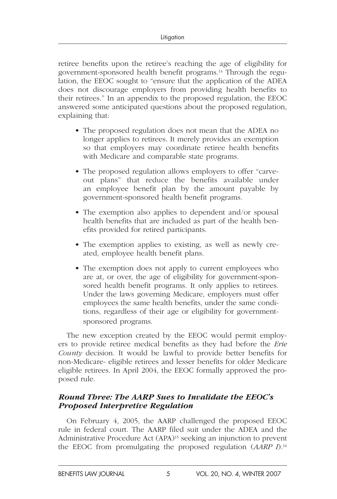retiree benefits upon the retiree's reaching the age of eligibility for government-sponsored health benefit programs. 14 Through the regulation, the EEOC sought to "ensure that the application of the ADEA does not discourage employers from providing health benefits to their retirees." In an appendix to the proposed regulation, the EEOC answered some anticipated questions about the proposed regulation, explaining that:

- The proposed regulation does not mean that the ADEA no longer applies to retirees. It merely provides an exemption so that employers may coordinate retiree health benefits with Medicare and comparable state programs.
- The proposed regulation allows employers to offer "carveout plans" that reduce the benefits available under an employee benefit plan by the amount payable by government-sponsored health benefit programs.
- The exemption also applies to dependent and/or spousal health benefits that are included as part of the health benefits provided for retired participants.
- The exemption applies to existing, as well as newly created, employee health benefit plans.
- The exemption does not apply to current employees who are at, or over, the age of eligibility for government-sponsored health benefit programs. It only applies to retirees. Under the laws governing Medicare, employers must offer employees the same health benefits, under the same conditions, regardless of their age or eligibility for governmentsponsored programs.

The new exception created by the EEOC would permit employers to provide retiree medical benefits as they had before the *Erie County* decision. It would be lawful to provide better benefits for non-Medicare- eligible retirees and lesser benefits for older Medicare eligible retirees. In April 2004, the EEOC formally approved the proposed rule.

## *Round Three: The AARP Sues to Invalidate the EEOC's Proposed Interpretive Regulation*

On February 4, 2005, the AARP challenged the proposed EEOC rule in federal court. The AARP filed suit under the ADEA and the Administrative Procedure Act (APA)<sup>15</sup> seeking an injunction to prevent the EEOC from promulgating the proposed regulation (*AARP I*).<sup>16</sup>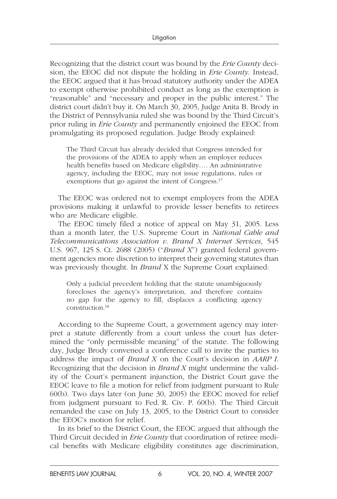Recognizing that the district court was bound by the *Erie County* decision, the EEOC did not dispute the holding in *Erie County*. Instead, the EEOC argued that it has broad statutory authority under the ADEA to exempt otherwise prohibited conduct as long as the exemption is "reasonable" and "necessary and proper in the public interest." The district court didn't buy it. On March 30, 2005, Judge Anita B. Brody in the District of Pennsylvania ruled she was bound by the Third Circuit's prior ruling in *Erie County* and permanently enjoined the EEOC from promulgating its proposed regulation. Judge Brody explained:

The Third Circuit has already decided that Congress intended for the provisions of the ADEA to apply when an employer reduces health benefits based on Medicare eligibility…. An administrative agency, including the EEOC, may not issue regulations, rules or exemptions that go against the intent of Congress.<sup>17</sup>

The EEOC was ordered not to exempt employers from the ADEA provisions making it unlawful to provide lesser benefits to retirees who are Medicare eligible.

The EEOC timely filed a notice of appeal on May 31, 2005. Less than a month later, the U.S. Supreme Court in *National Cable and Telecommunications Association v. Brand X Internet Services*, 545 U.S. 967, 125 S. Ct. 2688 (2005) (" *Brand X*") granted federal government agencies more discretion to interpret their governing statutes than was previously thought. In *Brand* X the Supreme Court explained:

Only a judicial precedent holding that the statute unambiguously forecloses the agency's interpretation, and therefore contains no gap for the agency to fill, displaces a conflicting agency construction. 18

According to the Supreme Court, a government agency may interpret a statute differently from a court unless the court has determined the "only permissible meaning" of the statute. The following day, Judge Brody convened a conference call to invite the parties to address the impact of *Brand X* on the Court's decision in *AARP I*. Recognizing that the decision in *Brand X* might undermine the validity of the Court's permanent injunction, the District Court gave the EEOC leave to file a motion for relief from judgment pursuant to Rule 60(b). Two days later (on June 30, 2005) the EEOC moved for relief from judgment pursuant to Fed. R. Civ. P. 60(b). The Third Circuit remanded the case on July 13, 2005, to the District Court to consider the EEOC's motion for relief.

In its brief to the District Court, the EEOC argued that although the Third Circuit decided in *Erie County* that coordination of retiree medical benefits with Medicare eligibility constitutes age discrimination,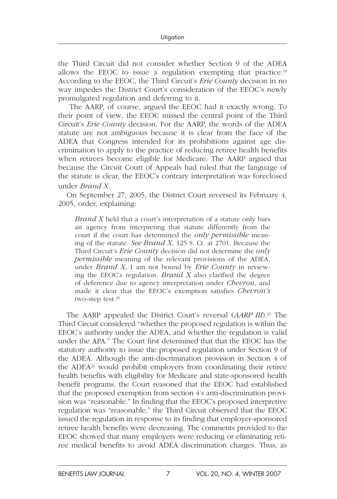the Third Circuit did not consider whether Section 9 of the ADEA allows the EEOC to issue a regulation exempting that practice. 19 According to the EEOC, the Third Circuit's *Erie County* decision in no way impedes the District Court's consideration of the EEOC's newly promulgated regulation and deferring to it.

 The AARP, of course, argued the EEOC had it exactly wrong. To their point of view, the EEOC missed the central point of the Third Circuit's *Erie County* decision. For the AARP, the words of the ADEA statute are not ambiguous because it is clear from the face of the ADEA that Congress intended for its prohibitions against age discrimination to apply to the practice of reducing retiree health benefits when retirees become eligible for Medicare. The AARP argued that because the Circuit Court of Appeals had ruled that the language of the statute is clear, the EEOC's contrary interpretation was foreclosed under *Brand X.*

On September 27, 2005, the District Court reversed its February 4, 2005, order, explaining:

*Brand X* held that a court's interpretation of a statute only bars an agency from interpreting that statute differently from the court if the court has determined the *only permissible* meaning of the statute. *See Brand X*, 125 S. Ct. at 2701. Because the Third Circuit's *Erie County* decision did not determine the *only permissible* meaning of the relevant provisions of the ADEA, under *Brand X*, I am not bound by *Erie County* in reviewing the EEOC's regulation. *Brand X* also clarified the degree of deference due to agency interpretation under *Chevron*, and made it clear that the EEOC's exemption satisfies *Chevron's* two-step test.<sup>20</sup>

The AARP appealed the District Court's reversal (*AARP III*).<sup>21</sup> The Third Circuit considered "whether the proposed regulation is within the EEOC's authority under the ADEA, and whether the regulation is valid under the APA." The Court first determined that that the EEOC has the statutory authority to issue the proposed regulation under Section 9 of the ADEA. Although the anti-discrimination provision in Section 4 of the ADE $A^{22}$  would prohibit employers from coordinating their retiree health benefits with eligibility for Medicare and state-sponsored health benefit programs, the Court reasoned that the EEOC had established that the proposed exemption from section 4's anti-discrimination provision was "reasonable." In finding that the EEOC's proposed interpretive regulation was "reasonable," the Third Circuit observed that the EEOC issued the regulation in response to its finding that employer-sponsored retiree health benefits were decreasing. The comments provided to the EEOC showed that many employers were reducing or eliminating retiree medical benefits to avoid ADEA discrimination charges. Thus, as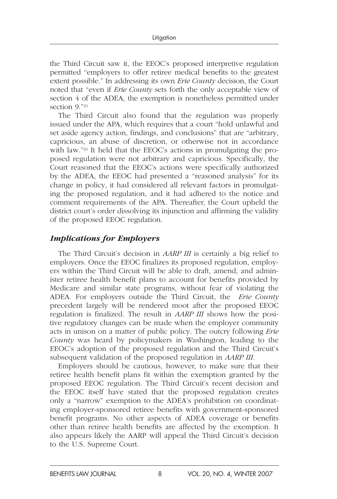the Third Circuit saw it, the EEOC's proposed interpretive regulation permitted "employers to offer retiree medical benefits to the greatest extent possible." In addressing its own *Erie County* decision, the Court noted that "even if *Erie County* sets forth the only acceptable view of section 4 of the ADEA, the exemption is nonetheless permitted under section 9."<sup>23</sup>

The Third Circuit also found that the regulation was properly issued under the APA, which requires that a court "hold unlawful and set aside agency action, findings, and conclusions" that are "arbitrary, capricious, an abuse of discretion, or otherwise not in accordance with law."<sup>24</sup> It held that the EEOC's actions in promulgating the proposed regulation were not arbitrary and capricious. Specifically, the Court reasoned that the EEOC's actions were specifically authorized by the ADEA, the EEOC had presented a "reasoned analysis" for its change in policy, it had considered all relevant factors in promulgating the proposed regulation, and it had adhered to the notice and comment requirements of the APA. Thereafter, the Court upheld the district court's order dissolving its injunction and affirming the validity of the proposed EEOC regulation.

## *Implications for Employers*

The Third Circuit's decision in *AARP III* is certainly a big relief to employers. Once the EEOC finalizes its proposed regulation, employers within the Third Circuit will be able to draft, amend, and administer retiree health benefit plans to account for benefits provided by Medicare and similar state programs, without fear of violating the ADEA. For employers outside the Third Circuit, the *Erie County* precedent largely will be rendered moot after the proposed EEOC regulation is finalized. The result in *AARP III* shows how the positive regulatory changes can be made when the employer community acts in unison on a matter of public policy. The outcry following *Erie County* was heard by policymakers in Washington, leading to the EEOC's adoption of the proposed regulation and the Third Circuit's subsequent validation of the proposed regulation in *AARP III*.

Employers should be cautious, however, to make sure that their retiree health benefit plans fit within the exemption granted by the proposed EEOC regulation. The Third Circuit's recent decision and the EEOC itself have stated that the proposed regulation creates only a "narrow" exemption to the ADEA's prohibition on coordinating employer-sponsored retiree benefits with government-sponsored benefit programs. No other aspects of ADEA coverage or benefits other than retiree health benefits are affected by the exemption. It also appears likely the AARP will appeal the Third Circuit's decision to the U.S. Supreme Court.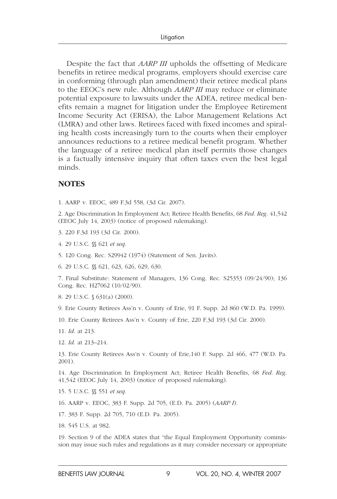Despite the fact that *AARP III* upholds the offsetting of Medicare benefits in retiree medical programs, employers should exercise care in conforming (through plan amendment) their retiree medical plans to the EEOC's new rule. Although *AARP III* may reduce or eliminate potential exposure to lawsuits under the ADEA, retiree medical benefits remain a magnet for litigation under the Employee Retirement Income Security Act (ERISA), the Labor Management Relations Act (LMRA) and other laws. Retirees faced with fixed incomes and spiraling health costs increasingly turn to the courts when their employer announces reductions to a retiree medical benefit program. Whether the language of a retiree medical plan itself permits those changes is a factually intensive inquiry that often taxes even the best legal minds.

### **NOTES**

1. AARP v. EEOC, 489 F.3d 558, (3d Cir. 2007).

2. Age Discrimination In Employment Act; Retiree Health Benefits, 68 *Fed. Reg*. 41,542 (EEOC July 14, 2003) (notice of proposed rulemaking).

- 3. 220 F.3d 193 (3d Cir. 2000).
- 4. 29 U.S.C. §§ 621 *et seq.*
- 5. 120 Cong. Rec. S29942 (1974) (Statement of Sen. Javits).
- 6. 29 U.S.C. §§ 621, 623, 626, 629, 630.

7. Final Substitute: Statement of Managers, 136 Cong. Rec. S25353 (09/24/90); 136 Cong. Rec. H27062 (10/02/90).

8. 29 U.S.C. § 631(a) (2000).

9. Erie County Retirees Ass'n v. County of Erie, 91 F. Supp. 2d 860 (W.D. Pa. 1999).

10. Erie County Retirees Ass'n v. County of Erie, 220 F.3d 193 (3d Cir. 2000).

- 11. *Id*. at 213.
- 12. *Id*. at 213–214.

13. Erie County Retirees Ass'n v. County of Erie,140 F. Supp. 2d 466, 477 (W.D. Pa. 2001).

14. Age Discrimination In Employment Act; Retiree Health Benefits, 68 *Fed. Reg*. 41,542 (EEOC July 14, 2003) (notice of proposed rulemaking).

15. 5 U.S.C. §§ 551 *et seq.*

16. AARP v. EEOC, 383 F. Supp. 2d 705, (E.D. Pa. 2005) (*AARP I*).

17. 383 F. Supp. 2d 705, 710 (E.D. Pa. 2005).

18. 545 U.S. at 982.

19. Section 9 of the ADEA states that "the Equal Employment Opportunity commission may issue such rules and regulations as it may consider necessary or appropriate